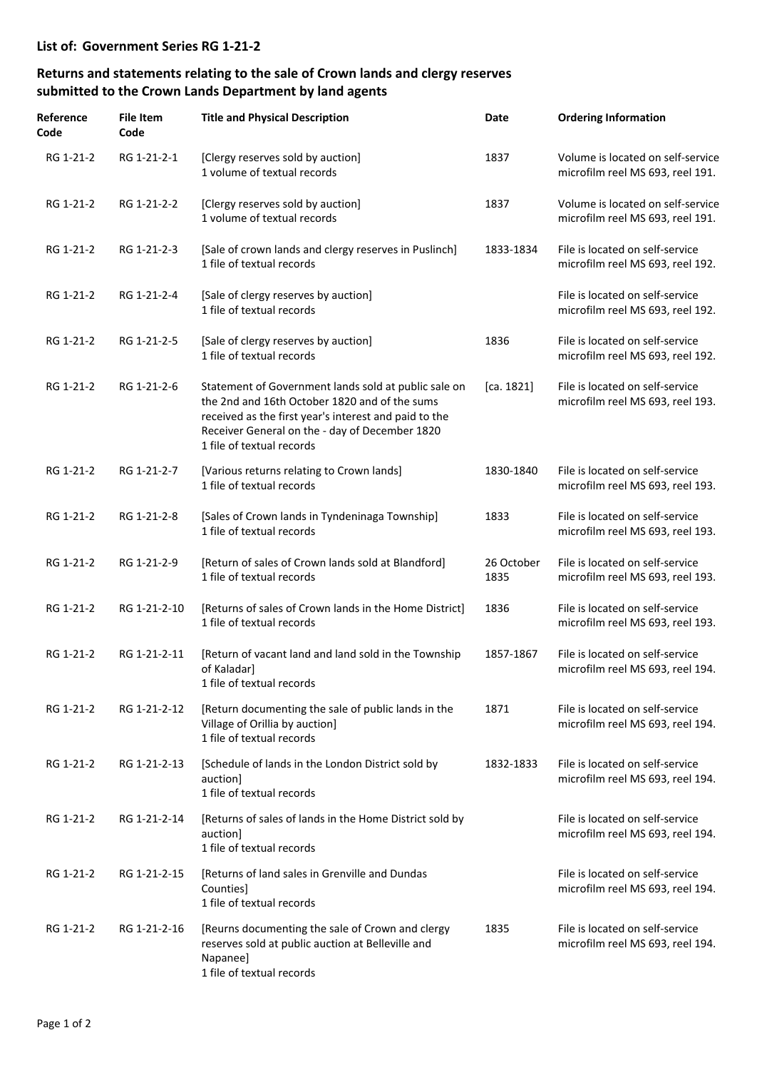## **Returns and statements relating to the sale of Crown lands and clergy reserves submitted to the Crown Lands Department by land agents**

| Reference<br>Code | File Item<br>Code | <b>Title and Physical Description</b>                                                                                                                                                                                                         | Date               | <b>Ordering Information</b>                                           |
|-------------------|-------------------|-----------------------------------------------------------------------------------------------------------------------------------------------------------------------------------------------------------------------------------------------|--------------------|-----------------------------------------------------------------------|
| RG 1-21-2         | RG 1-21-2-1       | [Clergy reserves sold by auction]<br>1 volume of textual records                                                                                                                                                                              | 1837               | Volume is located on self-service<br>microfilm reel MS 693, reel 191. |
| RG 1-21-2         | RG 1-21-2-2       | [Clergy reserves sold by auction]<br>1 volume of textual records                                                                                                                                                                              | 1837               | Volume is located on self-service<br>microfilm reel MS 693, reel 191. |
| RG 1-21-2         | RG 1-21-2-3       | [Sale of crown lands and clergy reserves in Puslinch]<br>1 file of textual records                                                                                                                                                            | 1833-1834          | File is located on self-service<br>microfilm reel MS 693, reel 192.   |
| RG 1-21-2         | RG 1-21-2-4       | [Sale of clergy reserves by auction]<br>1 file of textual records                                                                                                                                                                             |                    | File is located on self-service<br>microfilm reel MS 693, reel 192.   |
| RG 1-21-2         | RG 1-21-2-5       | [Sale of clergy reserves by auction]<br>1 file of textual records                                                                                                                                                                             | 1836               | File is located on self-service<br>microfilm reel MS 693, reel 192.   |
| RG 1-21-2         | RG 1-21-2-6       | Statement of Government lands sold at public sale on<br>the 2nd and 16th October 1820 and of the sums<br>received as the first year's interest and paid to the<br>Receiver General on the - day of December 1820<br>1 file of textual records | [ca. 1821]         | File is located on self-service<br>microfilm reel MS 693, reel 193.   |
| RG 1-21-2         | RG 1-21-2-7       | [Various returns relating to Crown lands]<br>1 file of textual records                                                                                                                                                                        | 1830-1840          | File is located on self-service<br>microfilm reel MS 693, reel 193.   |
| RG 1-21-2         | RG 1-21-2-8       | [Sales of Crown lands in Tyndeninaga Township]<br>1 file of textual records                                                                                                                                                                   | 1833               | File is located on self-service<br>microfilm reel MS 693, reel 193.   |
| RG 1-21-2         | RG 1-21-2-9       | [Return of sales of Crown lands sold at Blandford]<br>1 file of textual records                                                                                                                                                               | 26 October<br>1835 | File is located on self-service<br>microfilm reel MS 693, reel 193.   |
| RG 1-21-2         | RG 1-21-2-10      | [Returns of sales of Crown lands in the Home District]<br>1 file of textual records                                                                                                                                                           | 1836               | File is located on self-service<br>microfilm reel MS 693, reel 193.   |
| RG 1-21-2         | RG 1-21-2-11      | [Return of vacant land and land sold in the Township<br>of Kaladar]<br>1 file of textual records                                                                                                                                              | 1857-1867          | File is located on self-service<br>microfilm reel MS 693, reel 194.   |
| RG 1-21-2         | RG 1-21-2-12      | [Return documenting the sale of public lands in the<br>Village of Orillia by auction]<br>1 file of textual records                                                                                                                            | 1871               | File is located on self-service<br>microfilm reel MS 693, reel 194.   |
| RG 1-21-2         | RG 1-21-2-13      | [Schedule of lands in the London District sold by<br>auction]<br>1 file of textual records                                                                                                                                                    | 1832-1833          | File is located on self-service<br>microfilm reel MS 693, reel 194.   |
| RG 1-21-2         | RG 1-21-2-14      | [Returns of sales of lands in the Home District sold by<br>auction<br>1 file of textual records                                                                                                                                               |                    | File is located on self-service<br>microfilm reel MS 693, reel 194.   |
| RG 1-21-2         | RG 1-21-2-15      | [Returns of land sales in Grenville and Dundas]<br>Counties<br>1 file of textual records                                                                                                                                                      |                    | File is located on self-service<br>microfilm reel MS 693, reel 194.   |
| RG 1-21-2         | RG 1-21-2-16      | [Reurns documenting the sale of Crown and clergy<br>reserves sold at public auction at Belleville and<br>Napanee]<br>1 file of textual records                                                                                                | 1835               | File is located on self-service<br>microfilm reel MS 693, reel 194.   |